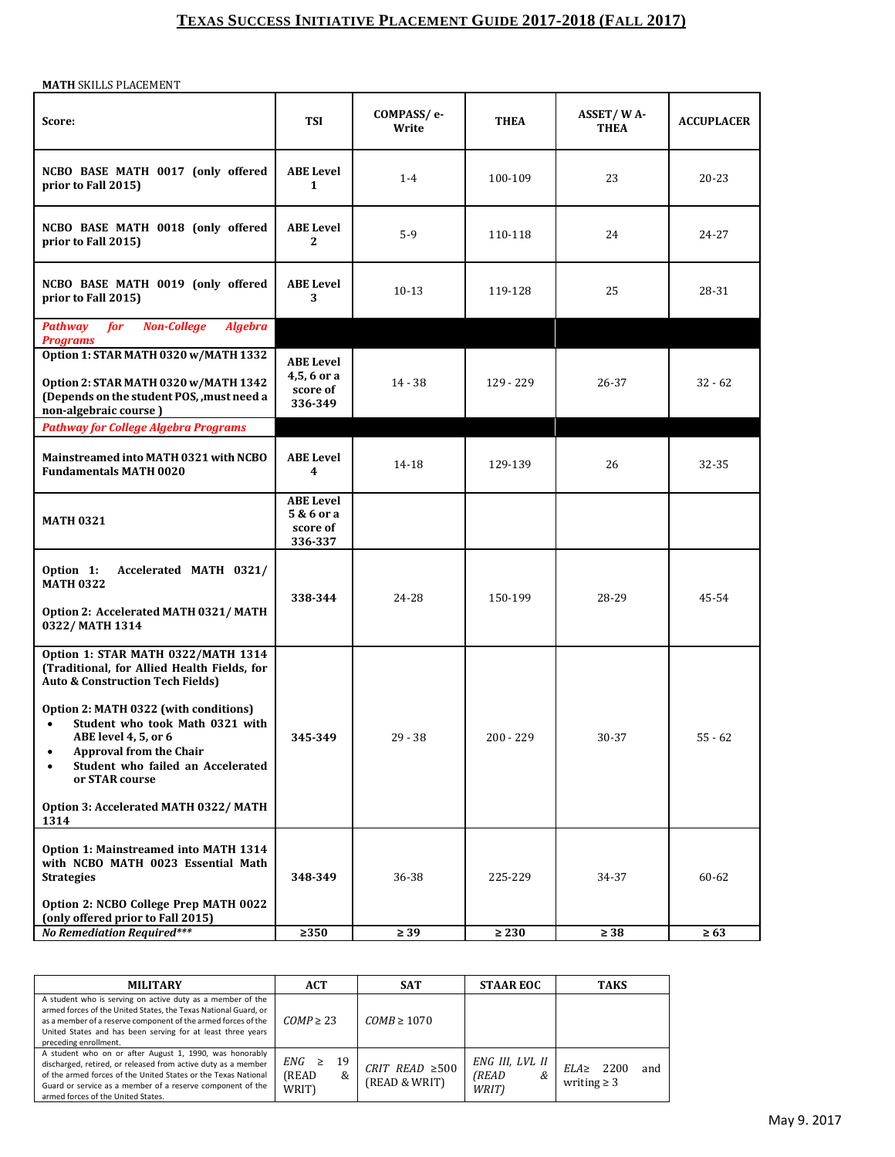## **TEXAS SUCCESS INITIATIVE PLACEMENT GUIDE 2017-2018 (FALL 2017)**

**MATH** SKILLS PLACEMENT

| Score:                                                                                                                                                                                                              | TSI                                                   | COMPASS/e-<br>Write | <b>THEA</b> | <b>ASSET/WA-</b><br><b>THEA</b> | <b>ACCUPLACER</b> |
|---------------------------------------------------------------------------------------------------------------------------------------------------------------------------------------------------------------------|-------------------------------------------------------|---------------------|-------------|---------------------------------|-------------------|
| NCBO BASE MATH 0017 (only offered<br>prior to Fall 2015)                                                                                                                                                            | <b>ABE Level</b><br>$\mathbf{1}$                      | $1 - 4$             | 100-109     | 23                              | $20 - 23$         |
| NCBO BASE MATH 0018 (only offered<br>prior to Fall 2015)                                                                                                                                                            | <b>ABE Level</b><br>2                                 | $5-9$               | 110-118     | 24                              | 24-27             |
| NCBO BASE MATH 0019 (only offered<br>prior to Fall 2015)                                                                                                                                                            | <b>ABE</b> Level<br>3                                 | $10-13$             | 119-128     | 25                              | 28-31             |
| <b>Non-College</b><br><b>Pathway</b><br>for<br><b>Algebra</b><br><b>Programs</b>                                                                                                                                    |                                                       |                     |             |                                 |                   |
| Option 1: STAR MATH 0320 w/MATH 1332<br>Option 2: STAR MATH 0320 w/MATH 1342<br>(Depends on the student POS, , must need a<br>non-algebraic course)                                                                 | <b>ABE Level</b><br>4,5,6 or a<br>score of<br>336-349 | $14 - 38$           | 129 - 229   | 26-37                           | $32 - 62$         |
| <b>Pathway for College Algebra Programs</b>                                                                                                                                                                         |                                                       |                     |             |                                 |                   |
| Mainstreamed into MATH 0321 with NCBO<br><b>Fundamentals MATH 0020</b>                                                                                                                                              | <b>ABE Level</b><br>$\overline{\mathbf{4}}$           | 14-18               | 129-139     | 26                              | 32-35             |
| <b>MATH 0321</b>                                                                                                                                                                                                    | <b>ABE Level</b><br>5 & 6 or a<br>score of<br>336-337 |                     |             |                                 |                   |
| Option 1:<br>Accelerated MATH 0321/<br><b>MATH 0322</b><br>Option 2: Accelerated MATH 0321/MATH                                                                                                                     | 338-344                                               | 24-28               | 150-199     | 28-29                           | 45-54             |
| 0322/MATH 1314                                                                                                                                                                                                      |                                                       |                     |             |                                 |                   |
| Option 1: STAR MATH 0322/MATH 1314<br>(Traditional, for Allied Health Fields, for<br><b>Auto &amp; Construction Tech Fields)</b>                                                                                    |                                                       |                     |             |                                 |                   |
| Option 2: MATH 0322 (with conditions)<br>Student who took Math 0321 with<br>$\bullet$<br>ABE level 4, 5, or 6<br><b>Approval from the Chair</b><br>$\bullet$<br>Student who failed an Accelerated<br>or STAR course | 345-349                                               | $29 - 38$           | $200 - 229$ | 30-37                           | $55 - 62$         |
| Option 3: Accelerated MATH 0322/MATH<br>1314                                                                                                                                                                        |                                                       |                     |             |                                 |                   |
| Option 1: Mainstreamed into MATH 1314<br>with NCBO MATH 0023 Essential Math<br><b>Strategies</b>                                                                                                                    | 348-349                                               | 36-38               | 225-229     | 34-37                           | 60-62             |
| Option 2: NCBO College Prep MATH 0022<br>(only offered prior to Fall 2015)                                                                                                                                          |                                                       |                     |             |                                 |                   |
| <b>No Remediation Required***</b>                                                                                                                                                                                   | $\geq$ 350                                            | $\geq$ 39           | $\geq 230$  | $\geq 38$                       | $\geq 63$         |

| <b>MILITARY</b>                                                                                                                                                                                                                                                                                | <b>ACT</b>                                 | <b>SAT</b>                            | <b>STAAR EOC</b>                       | <b>TAKS</b>                                  |
|------------------------------------------------------------------------------------------------------------------------------------------------------------------------------------------------------------------------------------------------------------------------------------------------|--------------------------------------------|---------------------------------------|----------------------------------------|----------------------------------------------|
| A student who is serving on active duty as a member of the<br>armed forces of the United States, the Texas National Guard, or<br>as a member of a reserve component of the armed forces of the<br>United States and has been serving for at least three years<br>preceding enrollment.         | $COMP \geq 23$                             | $COMB \ge 1070$                       |                                        |                                              |
| A student who on or after August 1, 1990, was honorably<br>discharged, retired, or released from active duty as a member<br>of the armed forces of the United States or the Texas National<br>Guard or service as a member of a reserve component of the<br>armed forces of the United States. | 19<br>ENG<br>$\geq$<br>(READ<br>&<br>WRIT) | CRIT READ $\geq 500$<br>(READ & WRIT) | ENG III, LVL II<br>(READ<br>&<br>WRIT) | 2200<br>$ELA \ge$<br>and<br>writing $\geq 3$ |